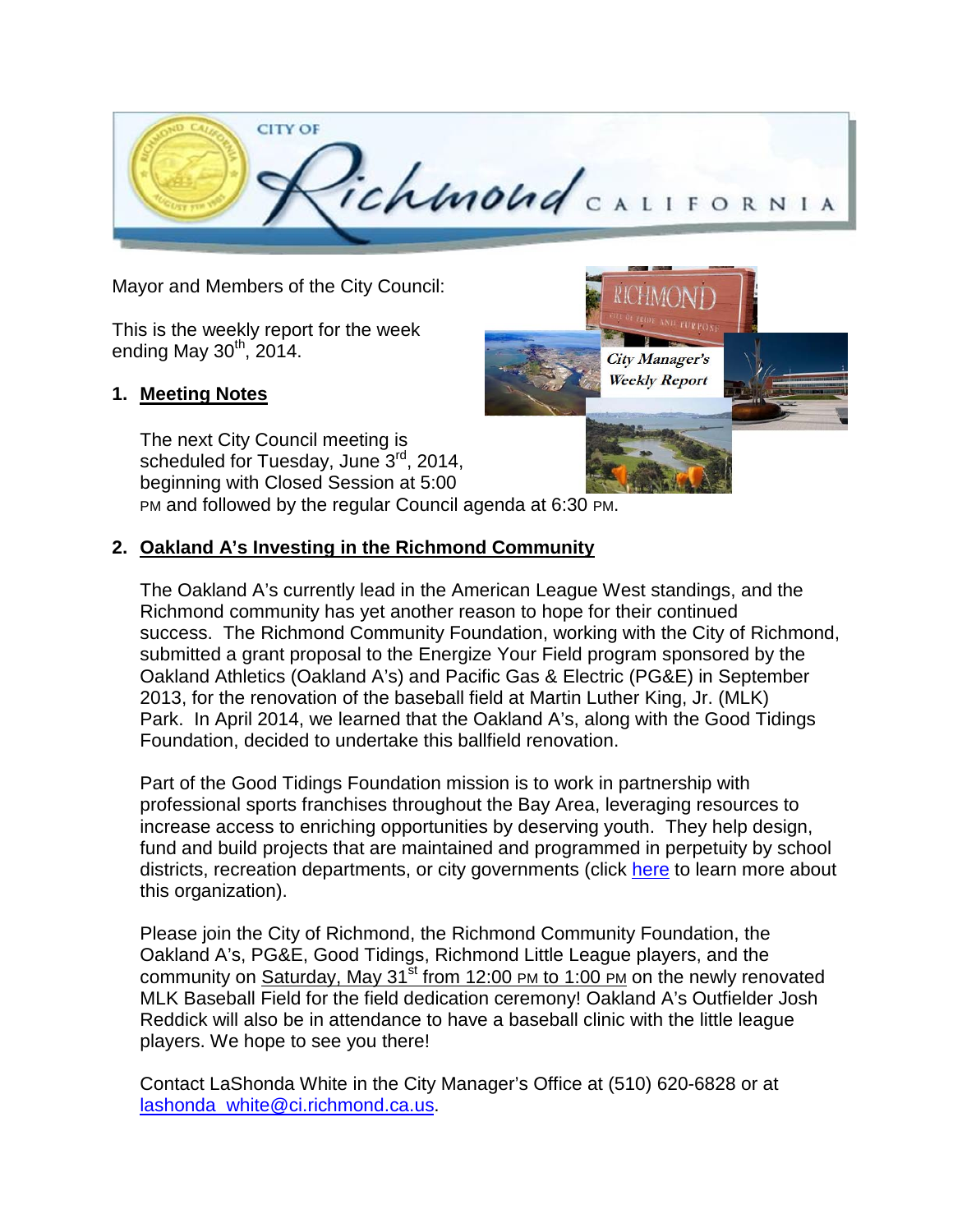

City Manager's **Weekly Report** 

Mayor and Members of the City Council:

This is the weekly report for the week ending May  $30<sup>th</sup>$ , 2014.

## **1. Meeting Notes**

The next City Council meeting is scheduled for Tuesday, June 3rd, 2014, beginning with Closed Session at 5:00 PM and followed by the regular Council agenda at 6:30 PM.

## **2. Oakland A's Investing in the Richmond Community**

The Oakland A's currently lead in the American League West standings, and the Richmond community has yet another reason to hope for their continued success. The Richmond Community Foundation, working with the City of Richmond, submitted a grant proposal to the Energize Your Field program sponsored by the Oakland Athletics (Oakland A's) and Pacific Gas & Electric (PG&E) in September 2013, for the renovation of the baseball field at Martin Luther King, Jr. (MLK) Park. In April 2014, we learned that the Oakland A's, along with the Good Tidings Foundation, decided to undertake this ballfield renovation.

Part of the Good Tidings Foundation mission is to work in partnership with professional sports franchises throughout the Bay Area, leveraging resources to increase access to enriching opportunities by deserving youth. They help design, fund and build projects that are maintained and programmed in perpetuity by school districts, recreation departments, or city governments (click [here](http://www.goodtidings.org/) to learn more about this organization).

Please join the City of Richmond, the Richmond Community Foundation, the Oakland A's, PG&E, Good Tidings, Richmond Little League players, and the community on Saturday, May  $31^{st}$  from 12:00 PM to 1:00 PM on the newly renovated MLK Baseball Field for the field dedication ceremony! Oakland A's Outfielder Josh Reddick will also be in attendance to have a baseball clinic with the little league players. We hope to see you there!

Contact LaShonda White in the City Manager's Office at (510) 620-6828 or at [lashonda\\_white@ci.richmond.ca.us.](mailto:lashonda_white@ci.richmond.ca.us)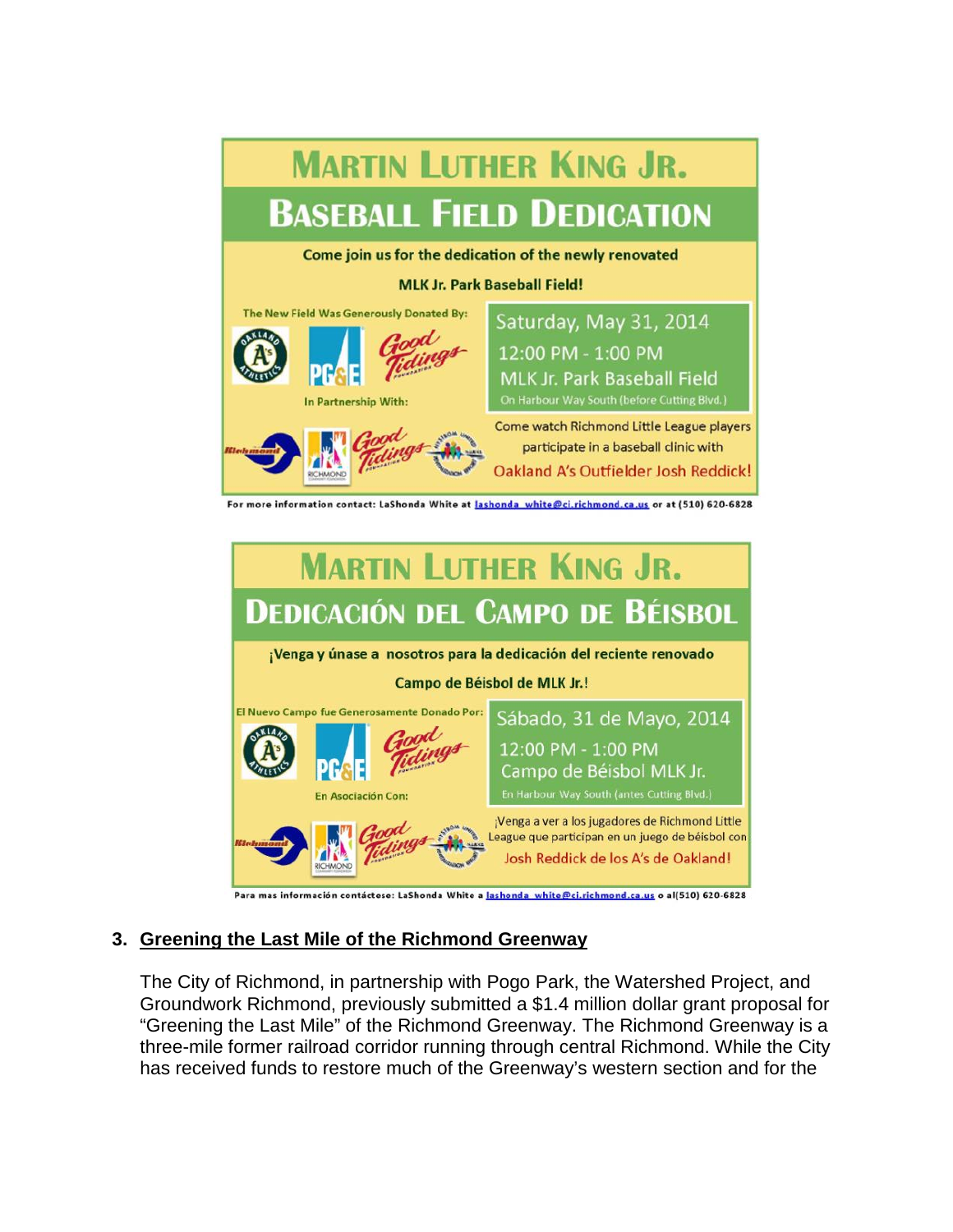



# **3. Greening the Last Mile of the Richmond Greenway**

The City of Richmond, in partnership with Pogo Park, the Watershed Project, and Groundwork Richmond, previously submitted a \$1.4 million dollar grant proposal for "Greening the Last Mile" of the Richmond Greenway. The Richmond Greenway is a three-mile former railroad corridor running through central Richmond. While the City has received funds to restore much of the Greenway's western section and for the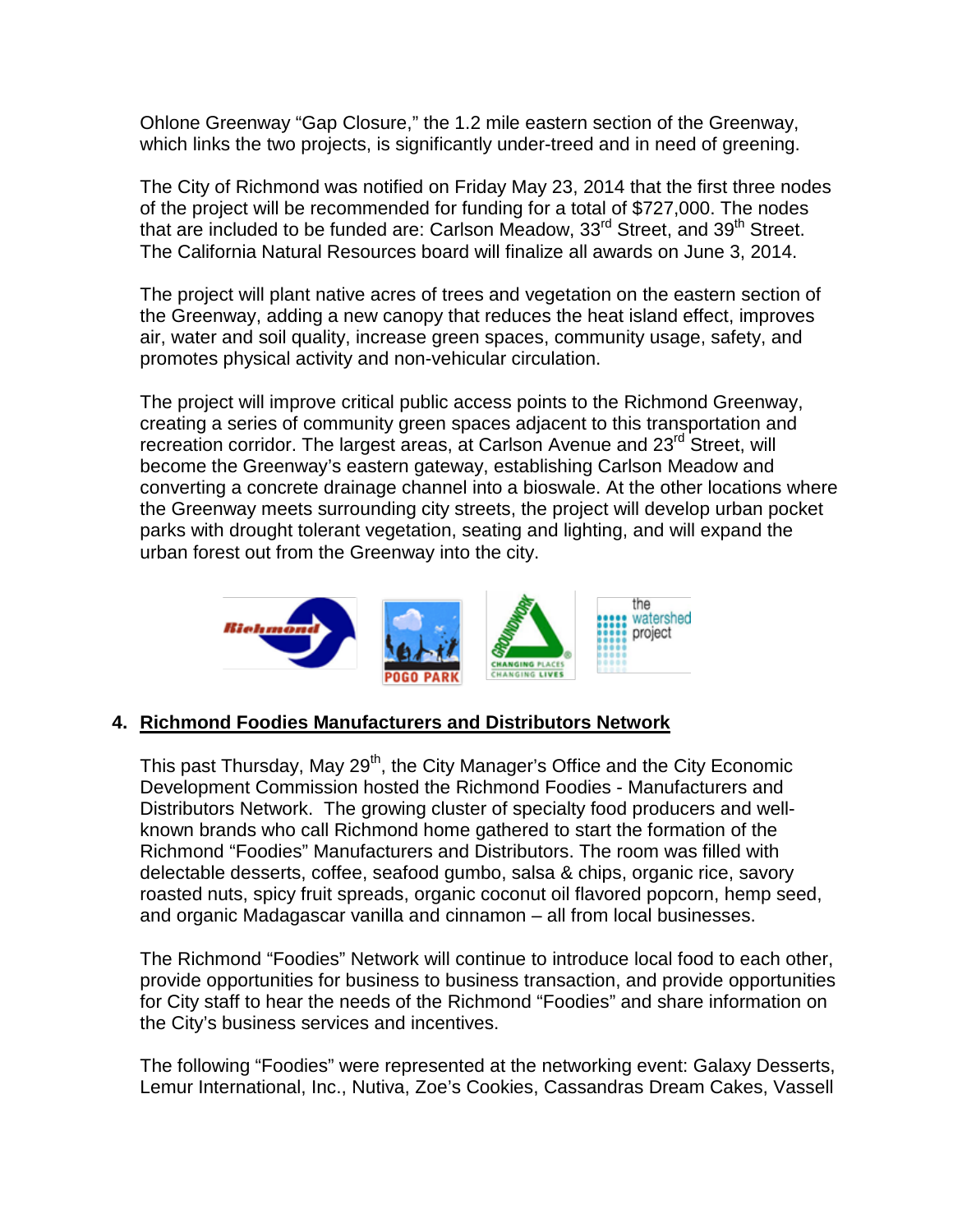Ohlone Greenway "Gap Closure," the 1.2 mile eastern section of the Greenway, which links the two projects, is significantly under-treed and in need of greening.

The City of Richmond was notified on Friday May 23, 2014 that the first three nodes of the project will be recommended for funding for a total of \$727,000. The nodes that are included to be funded are: Carlson Meadow, 33<sup>rd</sup> Street, and 39<sup>th</sup> Street. The California Natural Resources board will finalize all awards on June 3, 2014.

The project will plant native acres of trees and vegetation on the eastern section of the Greenway, adding a new canopy that reduces the heat island effect, improves air, water and soil quality, increase green spaces, community usage, safety, and promotes physical activity and non-vehicular circulation.

The project will improve critical public access points to the Richmond Greenway, creating a series of community green spaces adjacent to this transportation and recreation corridor. The largest areas, at Carlson Avenue and 23<sup>rd</sup> Street, will become the Greenway's eastern gateway, establishing Carlson Meadow and converting a concrete drainage channel into a bioswale. At the other locations where the Greenway meets surrounding city streets, the project will develop urban pocket parks with drought tolerant vegetation, seating and lighting, and will expand the urban forest out from the Greenway into the city.



## **4. Richmond Foodies Manufacturers and Distributors Network**

This past Thursday, May 29<sup>th</sup>, the City Manager's Office and the City Economic Development Commission hosted the Richmond Foodies - Manufacturers and Distributors Network. The growing cluster of specialty food producers and wellknown brands who call Richmond home gathered to start the formation of the Richmond "Foodies" Manufacturers and Distributors. The room was filled with delectable desserts, coffee, seafood gumbo, salsa & chips, organic rice, savory roasted nuts, spicy fruit spreads, organic coconut oil flavored popcorn, hemp seed, and organic Madagascar vanilla and cinnamon – all from local businesses.

The Richmond "Foodies" Network will continue to introduce local food to each other, provide opportunities for business to business transaction, and provide opportunities for City staff to hear the needs of the Richmond "Foodies" and share information on the City's business services and incentives.

The following "Foodies" were represented at the networking event: Galaxy Desserts, Lemur International, Inc., Nutiva, Zoe's Cookies, Cassandras Dream Cakes, Vassell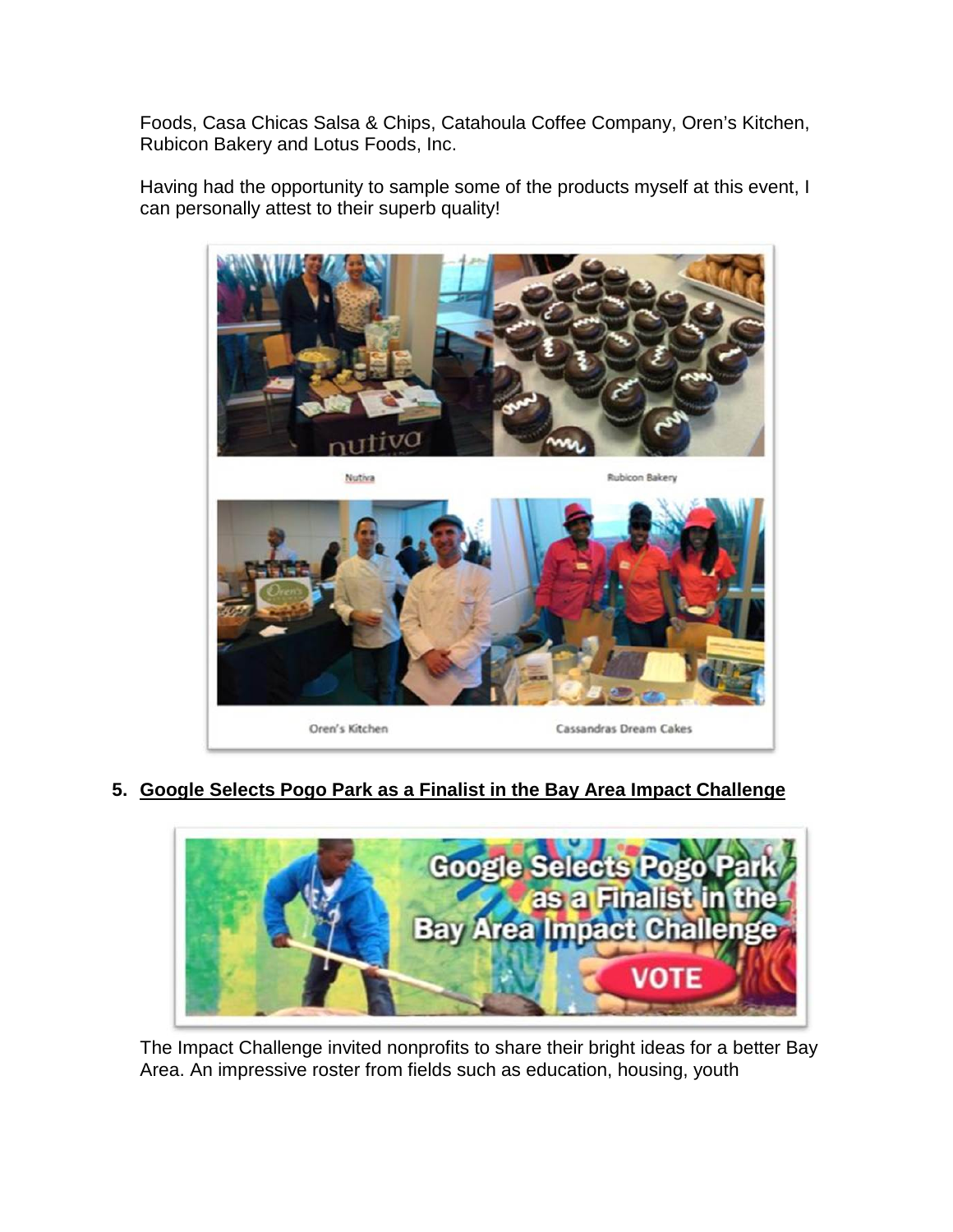Foods, Casa Chicas Salsa & Chips, Catahoula Coffee Company, Oren's Kitchen, Rubicon Bakery and Lotus Foods, Inc.

Having had the opportunity to sample some of the products myself at this event, I can personally attest to their superb quality!



**5. Google Selects Pogo Park as a Finalist in the Bay Area Impact Challenge**



The Impact Challenge invited nonprofits to share their bright ideas for a better Bay Area. An impressive roster from fields such as education, housing, youth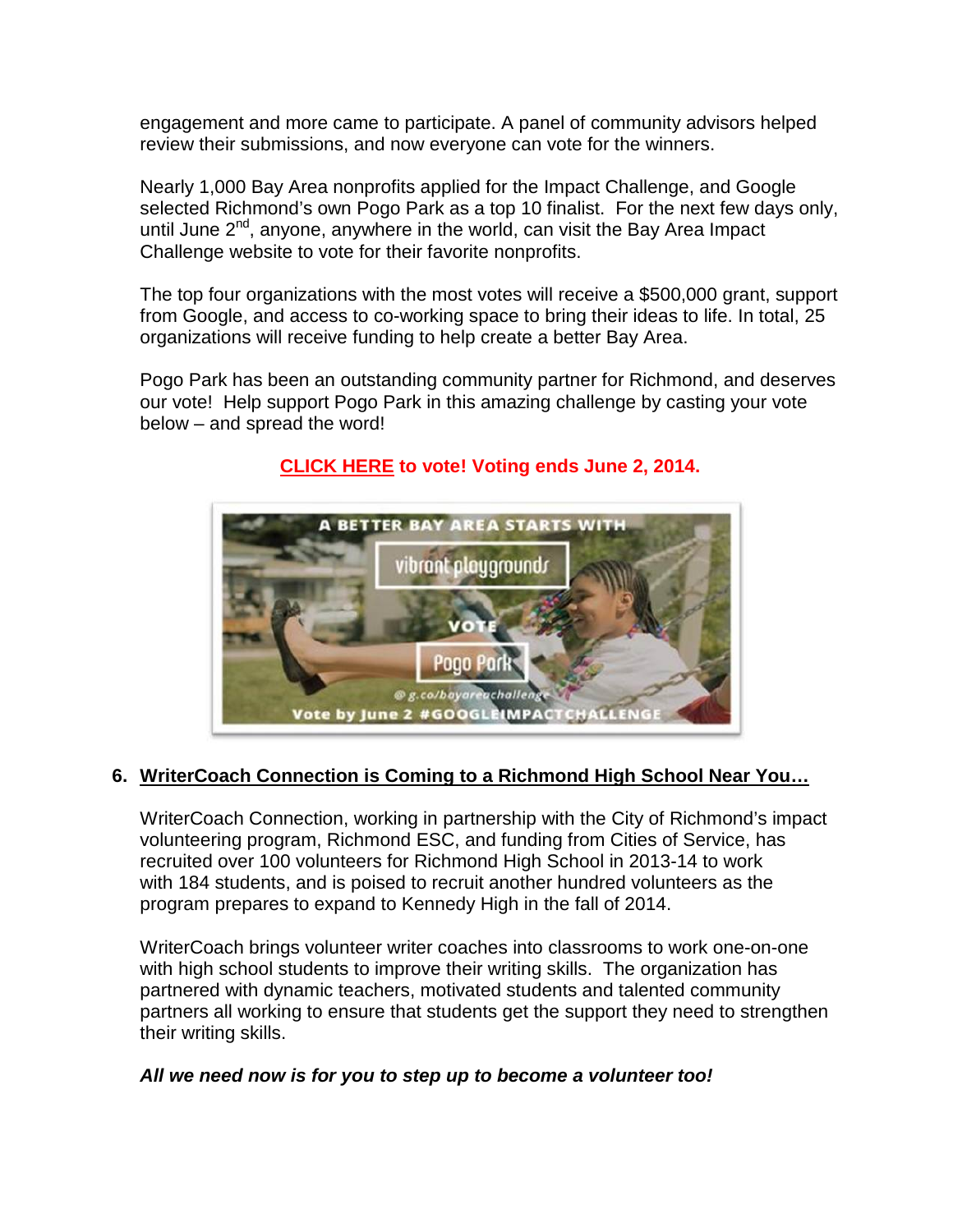engagement and more came to participate. A panel of community advisors helped review their submissions, and now everyone can vote for the winners.

Nearly 1,000 Bay Area nonprofits applied for the Impact Challenge, and Google selected Richmond's own Pogo Park as a top 10 finalist. For the next few days only, until June 2<sup>nd</sup>, anyone, anywhere in the world, can visit the Bay Area Impact Challenge website to vote for their favorite nonprofits.

The top four organizations with the most votes will receive a \$500,000 grant, support from Google, and access to co-working space to bring their ideas to life. In total, 25 organizations will receive funding to help create a better Bay Area.

Pogo Park has been an outstanding community partner for Richmond, and deserves our vote! Help support Pogo Park in this amazing challenge by casting your vote below – and spread the word!



# **[CLICK HERE](https://impactchallenge.withgoogle.com/bayarea2014/charity/pogo-park) to vote! Voting ends June 2, 2014.**

# **6. WriterCoach Connection is Coming to a Richmond High School Near You…**

WriterCoach Connection, working in partnership with the City of Richmond's impact volunteering program, Richmond ESC, and funding from Cities of Service, has recruited over 100 volunteers for Richmond High School in 2013-14 to work with 184 students, and is poised to recruit another hundred volunteers as the program prepares to expand to Kennedy High in the fall of 2014.

WriterCoach brings volunteer writer coaches into classrooms to work one-on-one with high school students to improve their writing skills. The organization has partnered with dynamic teachers, motivated students and talented community partners all working to ensure that students get the support they need to strengthen their writing skills.

# *All we need now is for you to step up to become a volunteer too!*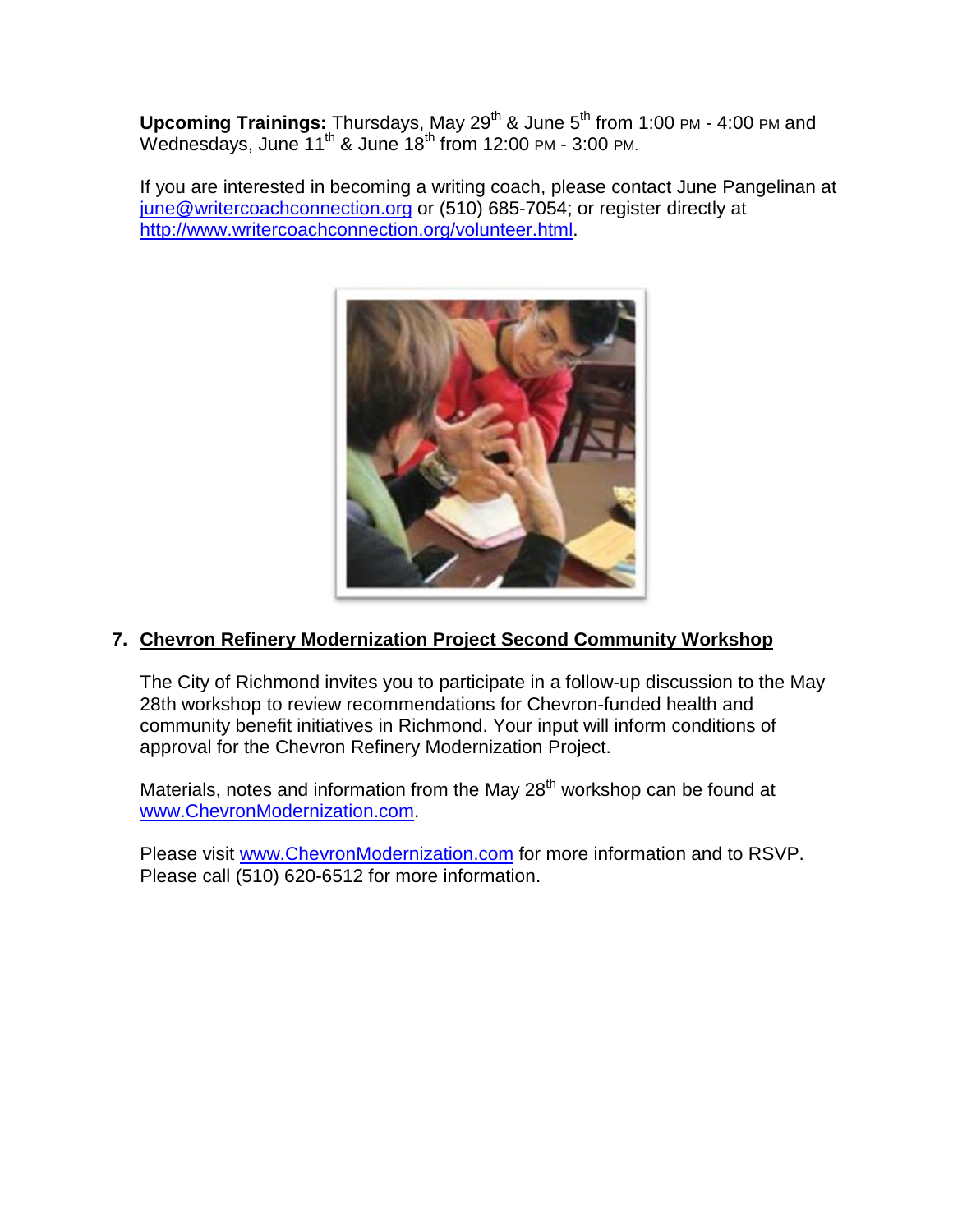**Upcoming Trainings:** Thursdays, May 29<sup>th</sup> & June 5<sup>th</sup> from 1:00 PM - 4:00 PM and Wednesdays, June  $11^{th}$  & June  $18^{th}$  from 12:00 PM - 3:00 PM.

If you are interested in becoming a writing coach, please contact June Pangelinan at [june@writercoachconnection.org](mailto:june@writercoachconnection.org) or (510) 685-7054; or register directly at [http://www.writercoachconnection.org/volunteer.html.](http://www.writercoachconnection.org/volunteer.html)



# **7. Chevron Refinery Modernization Project Second Community Workshop**

The City of Richmond invites you to participate in a follow-up discussion to the May 28th workshop to review recommendations for Chevron-funded health and community benefit initiatives in Richmond. Your input will inform conditions of approval for the Chevron Refinery Modernization Project.

Materials, notes and information from the May  $28<sup>th</sup>$  workshop can be found at [www.ChevronModernization.com.](http://www.chevronmodernization.com/)

Please visit [www.ChevronModernization.com](http://www.chevronmodernization.com/) for more information and to RSVP. Please call (510) 620-6512 for more information.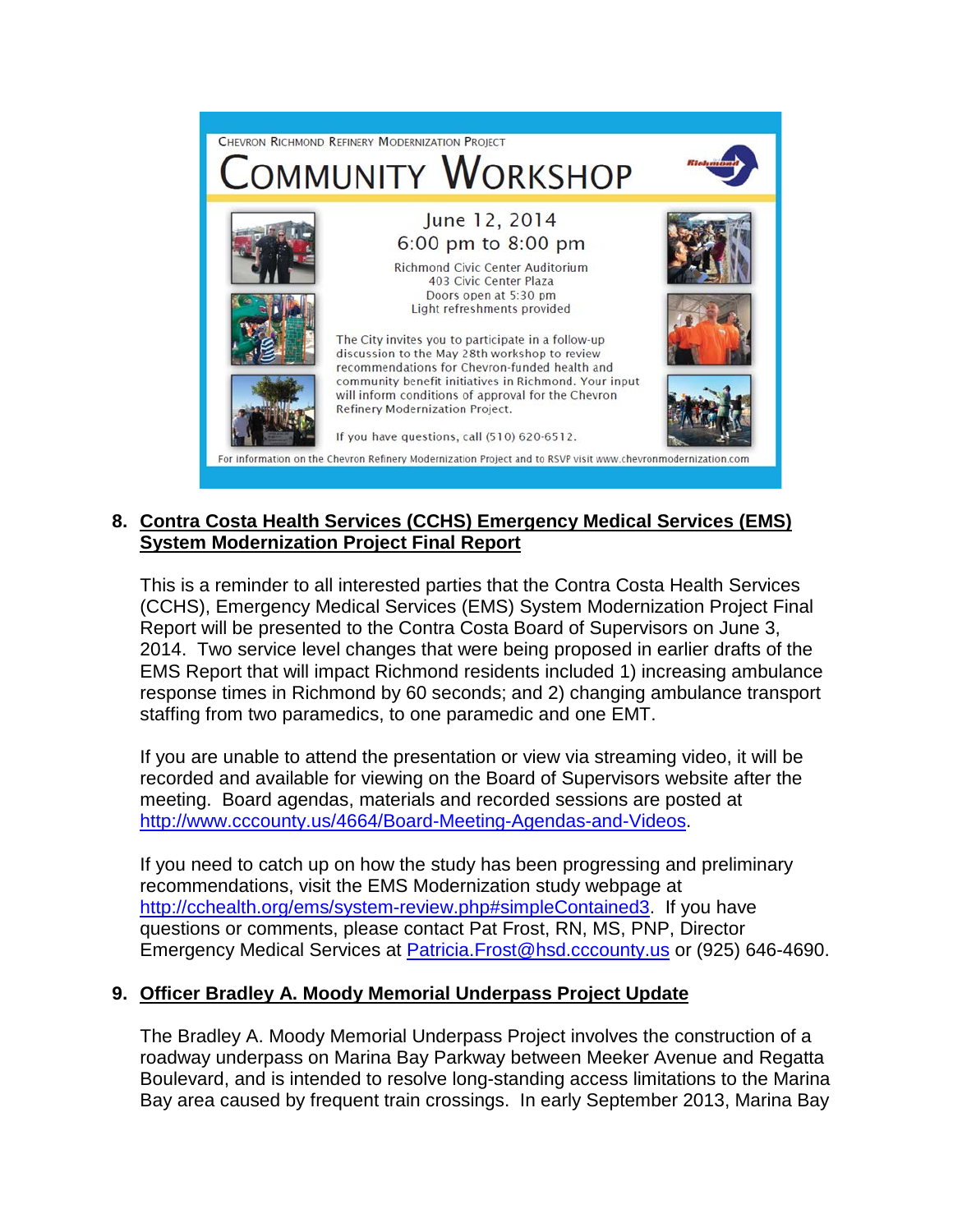

## **8. Contra Costa Health Services (CCHS) Emergency Medical Services (EMS) System Modernization Project Final Report**

This is a reminder to all interested parties that the Contra Costa Health Services (CCHS), Emergency Medical Services (EMS) System Modernization Project Final Report will be presented to the Contra Costa Board of Supervisors on June 3, 2014. Two service level changes that were being proposed in earlier drafts of the EMS Report that will impact Richmond residents included 1) increasing ambulance response times in Richmond by 60 seconds; and 2) changing ambulance transport staffing from two paramedics, to one paramedic and one EMT.

If you are unable to attend the presentation or view via streaming video, it will be recorded and available for viewing on the Board of Supervisors website after the meeting. Board agendas, materials and recorded sessions are posted at [http://www.cccounty.us/4664/Board-Meeting-Agendas-and-Videos.](http://www.cccounty.us/4664/Board-Meeting-Agendas-and-Videos)

If you need to catch up on how the study has been progressing and preliminary recommendations, visit the EMS Modernization study webpage at [http://cchealth.org/ems/system-review.php#simpleContained3.](http://cchealth.org/ems/system-review.php#simpleContained3) If you have questions or comments, please contact Pat Frost, RN, MS, PNP, Director Emergency Medical Services at [Patricia.Frost@hsd.cccounty.us](mailto:Patricia.Frost@hsd.cccounty.us) or (925) 646-4690.

## **9. Officer Bradley A. Moody Memorial Underpass Project Update**

The Bradley A. Moody Memorial Underpass Project involves the construction of a roadway underpass on Marina Bay Parkway between Meeker Avenue and Regatta Boulevard, and is intended to resolve long-standing access limitations to the Marina Bay area caused by frequent train crossings. In early September 2013, Marina Bay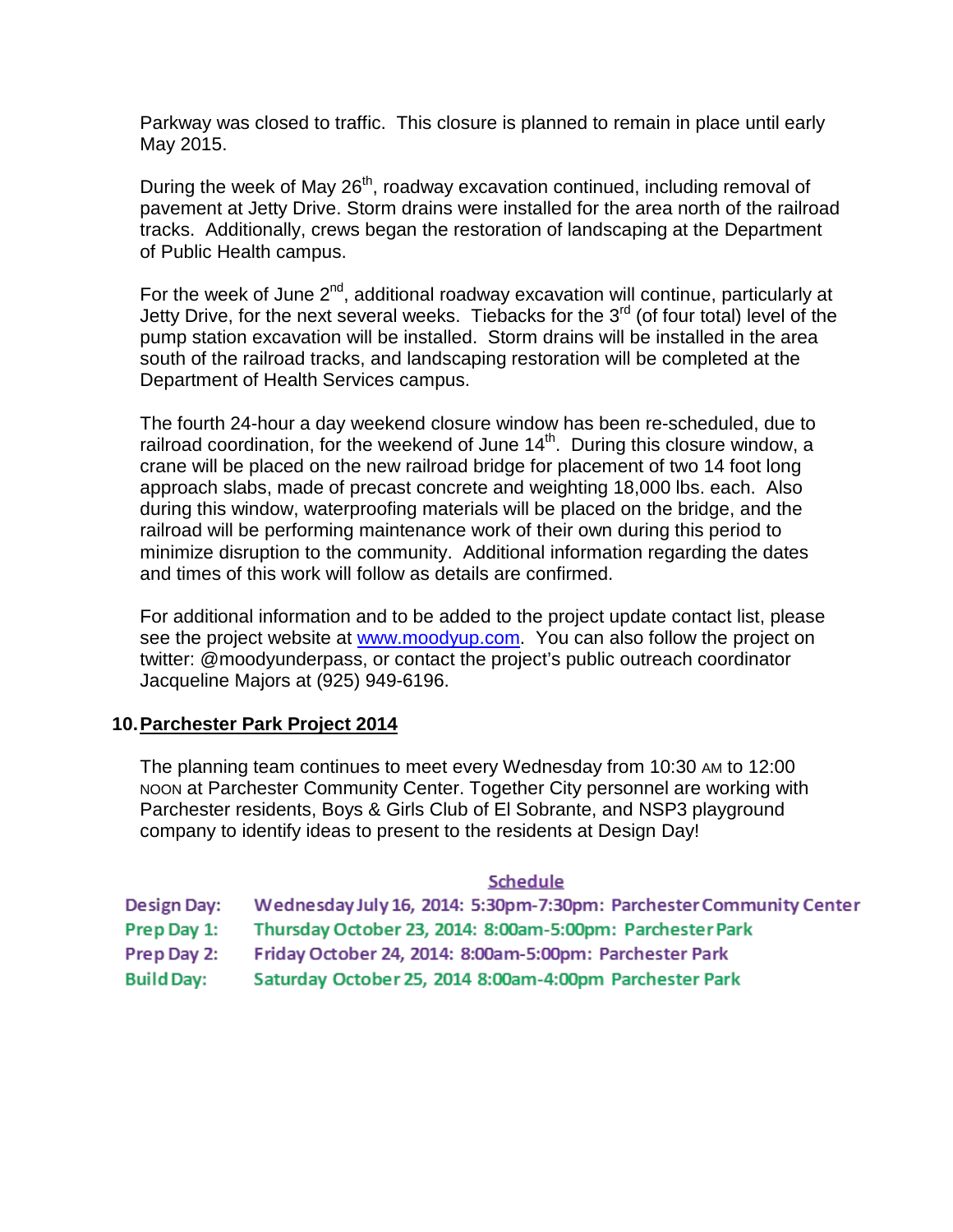Parkway was closed to traffic. This closure is planned to remain in place until early May 2015.

During the week of May 26<sup>th</sup>, roadway excavation continued, including removal of pavement at Jetty Drive. Storm drains were installed for the area north of the railroad tracks. Additionally, crews began the restoration of landscaping at the Department of Public Health campus.

For the week of June  $2^{nd}$ , additional roadway excavation will continue, particularly at Jetty Drive, for the next several weeks. Tiebacks for the 3<sup>rd</sup> (of four total) level of the pump station excavation will be installed. Storm drains will be installed in the area south of the railroad tracks, and landscaping restoration will be completed at the Department of Health Services campus.

The fourth 24-hour a day weekend closure window has been re-scheduled, due to railroad coordination, for the weekend of June  $14<sup>th</sup>$ . During this closure window, a crane will be placed on the new railroad bridge for placement of two 14 foot long approach slabs, made of precast concrete and weighting 18,000 lbs. each. Also during this window, waterproofing materials will be placed on the bridge, and the railroad will be performing maintenance work of their own during this period to minimize disruption to the community. Additional information regarding the dates and times of this work will follow as details are confirmed.

For additional information and to be added to the project update contact list, please see the project website at [www.moodyup.com.](http://www.moodyup.com/) You can also follow the project on twitter: @moodyunderpass, or contact the project's public outreach coordinator Jacqueline Majors at (925) 949-6196.

## **10.Parchester Park Project 2014**

The planning team continues to meet every Wednesday from 10:30 AM to 12:00 NOON at Parchester Community Center. Together City personnel are working with Parchester residents, Boys & Girls Club of El Sobrante, and NSP3 playground company to identify ideas to present to the residents at Design Day!

#### Schedule

Design Day: Wednesday July 16, 2014: 5:30pm-7:30pm: Parchester Community Center Prep Day 1: Thursday October 23, 2014: 8:00am-5:00pm: Parchester Park Prep Day 2: Friday October 24, 2014: 8:00am-5:00pm: Parchester Park **Build Day:** Saturday October 25, 2014 8:00am-4:00pm Parchester Park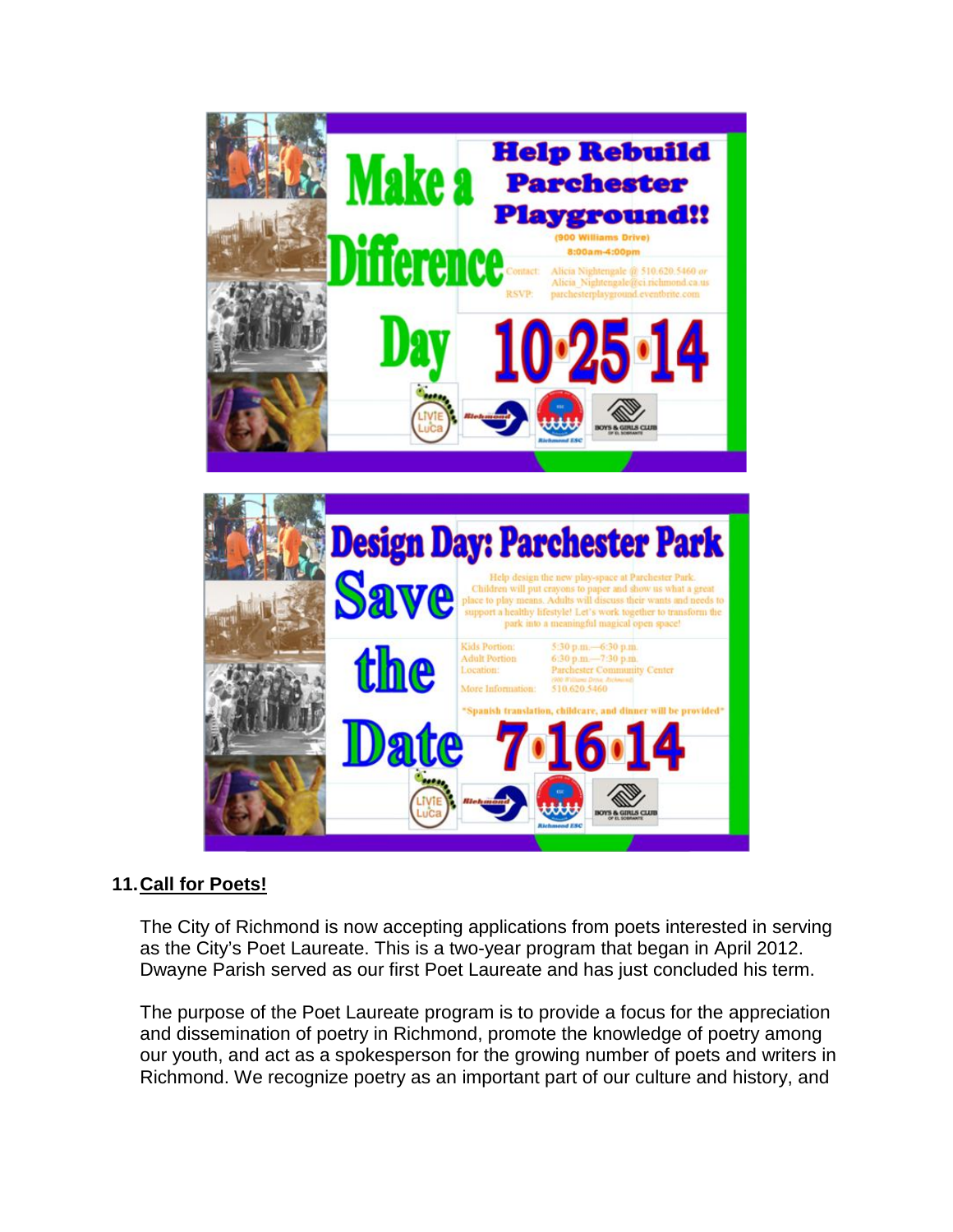

# the  $-7:30~\text{p.m}$ atte

# **11.Call for Poets!**

The City of Richmond is now accepting applications from poets interested in serving as the City's Poet Laureate. This is a two-year program that began in April 2012. Dwayne Parish served as our first Poet Laureate and has just concluded his term.

The purpose of the Poet Laureate program is to provide a focus for the appreciation and dissemination of poetry in Richmond, promote the knowledge of poetry among our youth, and act as a spokesperson for the growing number of poets and writers in Richmond. We recognize poetry as an important part of our culture and history, and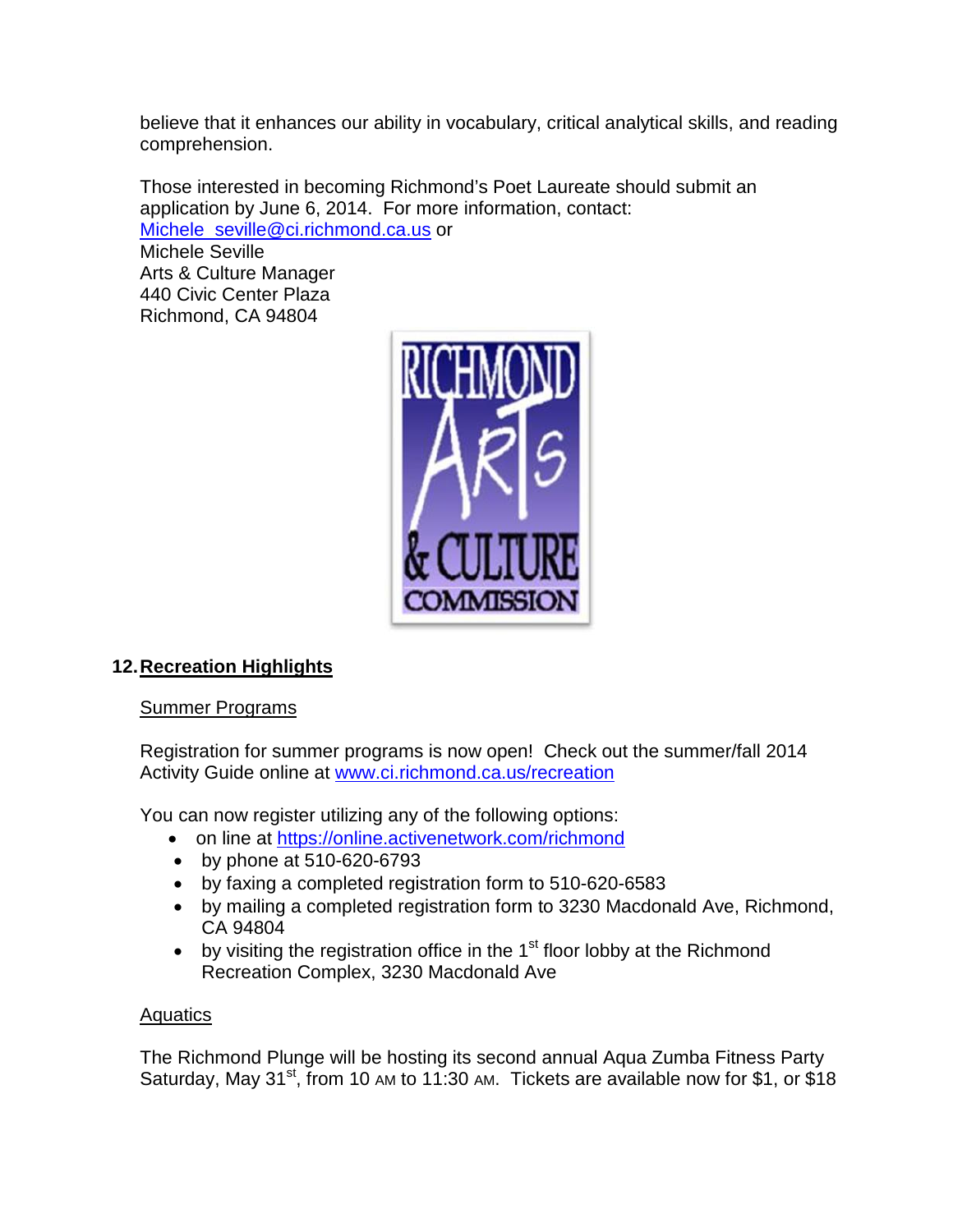believe that it enhances our ability in vocabulary, critical analytical skills, and reading comprehension.

Those interested in becoming Richmond's Poet Laureate should submit an application by June 6, 2014. For more information, contact: [Michele\\_seville@ci.richmond.ca.us](mailto:Michele_seville@ci.richmond.ca.us) or Michele Seville Arts & Culture Manager

440 Civic Center Plaza Richmond, CA 94804



# **12.Recreation Highlights**

## Summer Programs

Registration for summer programs is now open! Check out the summer/fall 2014 Activity Guide online at [www.ci.richmond.ca.us/recreation](http://www.ci.richmond.ca.us/recreation)

You can now register utilizing any of the following options:

- on line at<https://online.activenetwork.com/richmond>
- by phone at 510-620-6793
- by faxing a completed registration form to 510-620-6583
- by mailing a completed registration form to 3230 Macdonald Ave, Richmond, CA 94804
- by visiting the registration office in the  $1<sup>st</sup>$  floor lobby at the Richmond Recreation Complex, 3230 Macdonald Ave

## **Aquatics**

The Richmond Plunge will be hosting its second annual Aqua Zumba Fitness Party Saturday, May 31<sup>st</sup>, from 10 AM to 11:30 AM. Tickets are available now for \$1, or \$18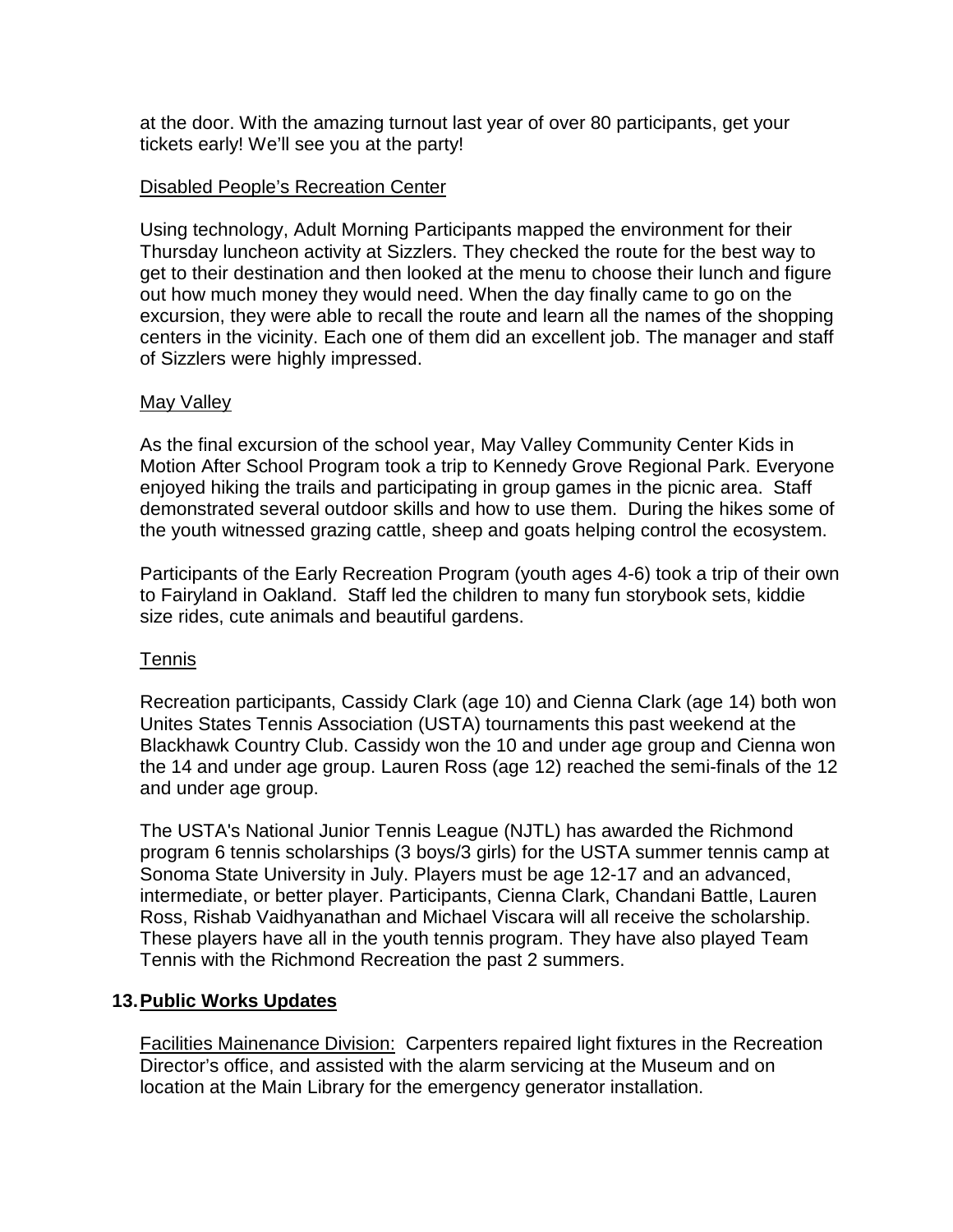at the door. With the amazing turnout last year of over 80 participants, get your tickets early! We'll see you at the party!

## Disabled People's Recreation Center

Using technology, Adult Morning Participants mapped the environment for their Thursday luncheon activity at Sizzlers. They checked the route for the best way to get to their destination and then looked at the menu to choose their lunch and figure out how much money they would need. When the day finally came to go on the excursion, they were able to recall the route and learn all the names of the shopping centers in the vicinity. Each one of them did an excellent job. The manager and staff of Sizzlers were highly impressed.

## May Valley

As the final excursion of the school year, May Valley Community Center Kids in Motion After School Program took a trip to Kennedy Grove Regional Park. Everyone enjoyed hiking the trails and participating in group games in the picnic area. Staff demonstrated several outdoor skills and how to use them. During the hikes some of the youth witnessed grazing cattle, sheep and goats helping control the ecosystem.

Participants of the Early Recreation Program (youth ages 4-6) took a trip of their own to Fairyland in Oakland. Staff led the children to many fun storybook sets, kiddie size rides, cute animals and beautiful gardens.

## Tennis

Recreation participants, Cassidy Clark (age 10) and Cienna Clark (age 14) both won Unites States Tennis Association (USTA) tournaments this past weekend at the Blackhawk Country Club. Cassidy won the 10 and under age group and Cienna won the 14 and under age group. Lauren Ross (age 12) reached the semi-finals of the 12 and under age group.

The USTA's National Junior Tennis League (NJTL) has awarded the Richmond program 6 tennis scholarships (3 boys/3 girls) for the USTA summer tennis camp at Sonoma State University in July. Players must be age 12-17 and an advanced, intermediate, or better player. Participants, Cienna Clark, Chandani Battle, Lauren Ross, Rishab Vaidhyanathan and Michael Viscara will all receive the scholarship. These players have all in the youth tennis program. They have also played Team Tennis with the Richmond Recreation the past 2 summers.

## **13.Public Works Updates**

Facilities Mainenance Division: Carpenters repaired light fixtures in the Recreation Director's office, and assisted with the alarm servicing at the Museum and on location at the Main Library for the emergency generator installation.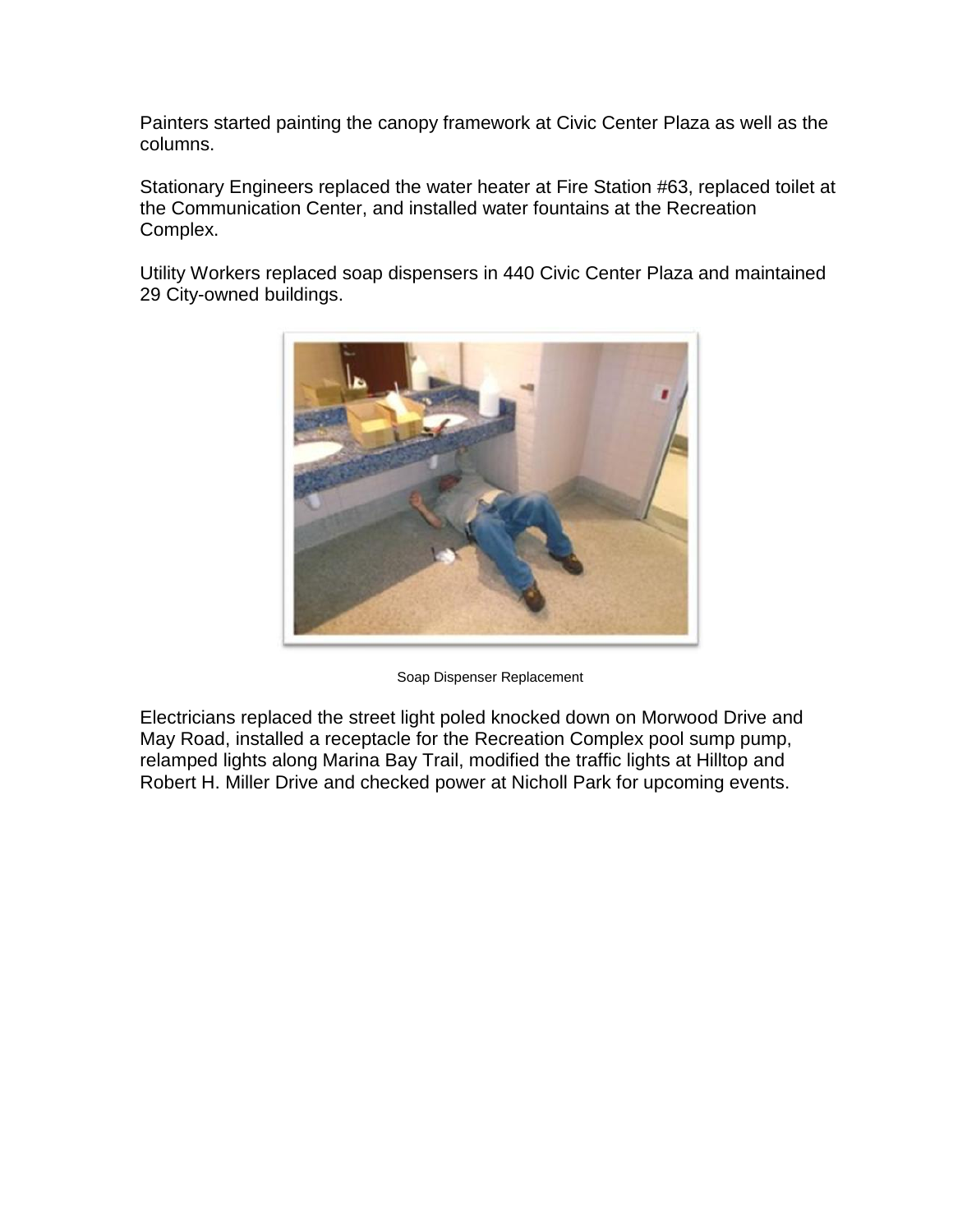Painters started painting the canopy framework at Civic Center Plaza as well as the columns.

Stationary Engineers replaced the water heater at Fire Station #63, replaced toilet at the Communication Center, and installed water fountains at the Recreation Complex.

Utility Workers replaced soap dispensers in 440 Civic Center Plaza and maintained 29 City-owned buildings.



Soap Dispenser Replacement

Electricians replaced the street light poled knocked down on Morwood Drive and May Road, installed a receptacle for the Recreation Complex pool sump pump, relamped lights along Marina Bay Trail, modified the traffic lights at Hilltop and Robert H. Miller Drive and checked power at Nicholl Park for upcoming events.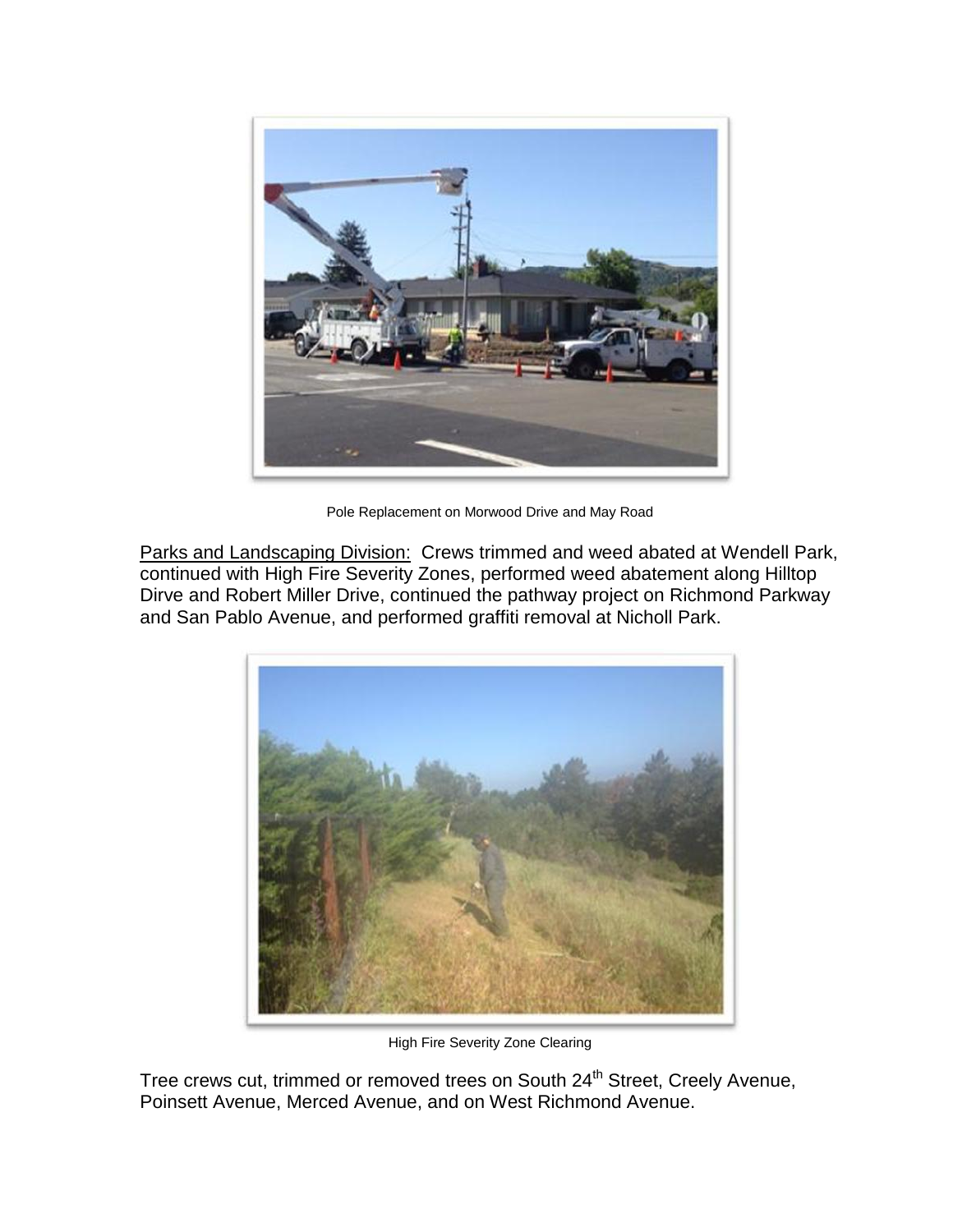

Pole Replacement on Morwood Drive and May Road

Parks and Landscaping Division: Crews trimmed and weed abated at Wendell Park, continued with High Fire Severity Zones, performed weed abatement along Hilltop Dirve and Robert Miller Drive, continued the pathway project on Richmond Parkway and San Pablo Avenue, and performed graffiti removal at Nicholl Park.



High Fire Severity Zone Clearing

Tree crews cut, trimmed or removed trees on South 24<sup>th</sup> Street, Creely Avenue, Poinsett Avenue, Merced Avenue, and on West Richmond Avenue.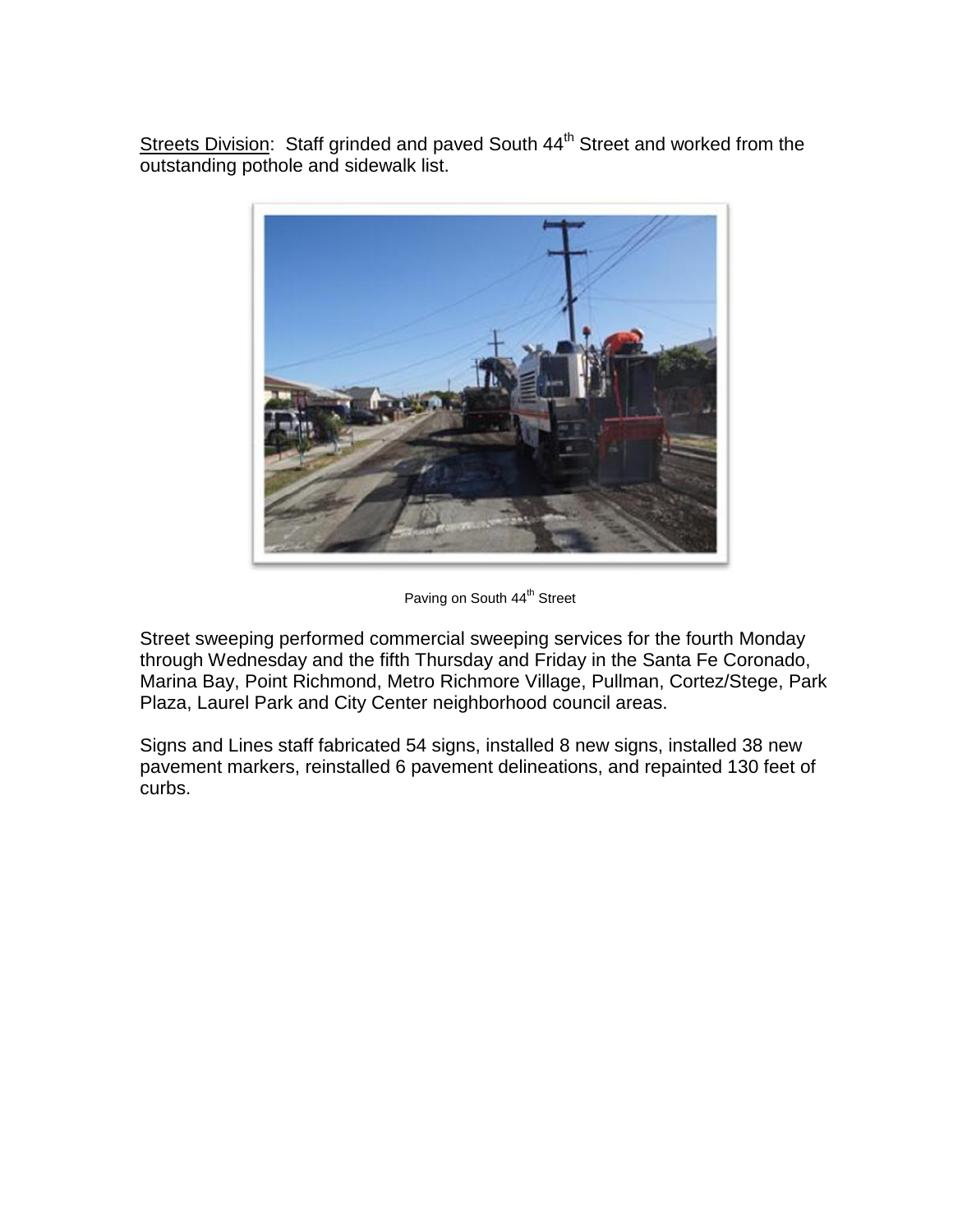Streets Division: Staff grinded and paved South 44<sup>th</sup> Street and worked from the outstanding pothole and sidewalk list.



Paving on South 44<sup>th</sup> Street

Street sweeping performed commercial sweeping services for the fourth Monday through Wednesday and the fifth Thursday and Friday in the Santa Fe Coronado, Marina Bay, Point Richmond, Metro Richmore Village, Pullman, Cortez/Stege, Park Plaza, Laurel Park and City Center neighborhood council areas.

Signs and Lines staff fabricated 54 signs, installed 8 new signs, installed 38 new pavement markers, reinstalled 6 pavement delineations, and repainted 130 feet of curbs.